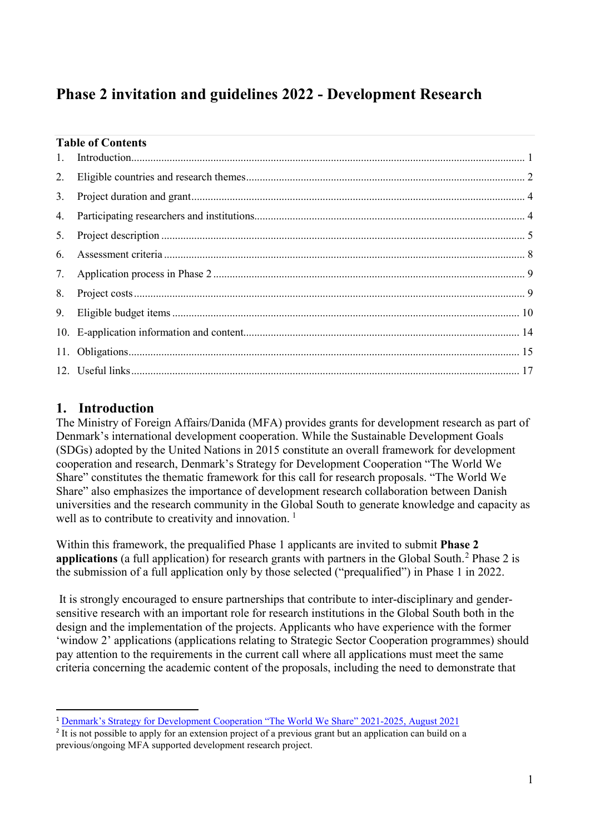# **Phase 2 invitation and guidelines 2022 - Development Research**

|  | <b>Table of Contents</b> |
|--|--------------------------|
|  |                          |

# <span id="page-0-0"></span>**1. Introduction**

 $\overline{a}$ 

The Ministry of Foreign Affairs/Danida (MFA) provides grants for development research as part of Denmark's international development cooperation. While the Sustainable Development Goals (SDGs) adopted by the United Nations in 2015 constitute an overall framework for development cooperation and research, Denmark's Strategy for Development Cooperation "The World We Share" constitutes the thematic framework for this call for research proposals. "The World We Share" also emphasizes the importance of development research collaboration between Danish universities and the research community in the Global South to generate knowledge and capacity as well as to contribute to creativity and innovation.<sup>[1](#page-0-1)</sup>

Within this framework, the prequalified Phase 1 applicants are invited to submit **Phase 2 applications** (a full application) for research grants with partners in the Global South.<sup>[2](#page-0-2)</sup> Phase 2 is the submission of a full application only by those selected ("prequalified") in Phase 1 in 2022.

 It is strongly encouraged to ensure partnerships that contribute to inter-disciplinary and gendersensitive research with an important role for research institutions in the Global South both in the design and the implementation of the projects. Applicants who have experience with the former 'window 2' applications (applications relating to Strategic Sector Cooperation programmes) should pay attention to the requirements in the current call where all applications must meet the same criteria concerning the academic content of the proposals, including the need to demonstrate that

<span id="page-0-1"></span><sup>1</sup> [Denmark's Strategy for Development Cooperation "The World We Share" 2021-2025, August 2021](https://um.dk/en/-/media/websites/umen/danida/strategies-and-priorities/udviklingsstrategi_uk_web.ashx)

<span id="page-0-2"></span><sup>&</sup>lt;sup>2</sup> It is not possible to apply for an extension project of a previous grant but an application can build on a previous/ongoing MFA supported development research project.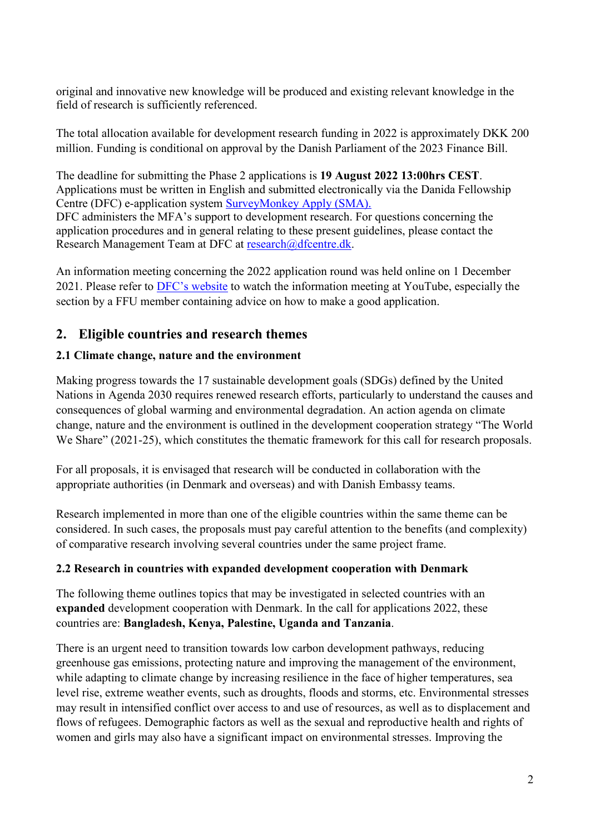original and innovative new knowledge will be produced and existing relevant knowledge in the field of research is sufficiently referenced.

The total allocation available for development research funding in 2022 is approximately DKK 200 million. Funding is conditional on approval by the Danish Parliament of the 2023 Finance Bill.

The deadline for submitting the Phase 2 applications is **19 August 2022 13:00hrs CEST**. Applications must be written in English and submitted electronically via the Danida Fellowship Centre (DFC) e-application system [SurveyMonkey Apply](https://dfcentre.smapply.io/acc/l) (SMA). DFC administers the MFA's support to development research. For questions concerning the application procedures and in general relating to these present guidelines, please contact the Research Management Team at DFC at [research@dfcentre.dk.](mailto:research@dfcentre.dk)

An information meeting concerning the 2022 application round was held online on 1 December 2021. Please refer to [DFC's website](https://dfcentre.com/research/calls/) to watch the information meeting at YouTube, especially the section by a FFU member containing advice on how to make a good application.

# <span id="page-1-0"></span>**2. Eligible countries and research themes**

### **2.1 Climate change, nature and the environment**

Making progress towards the 17 sustainable development goals (SDGs) defined by the United Nations in Agenda 2030 requires renewed research efforts, particularly to understand the causes and consequences of global warming and environmental degradation. An action agenda on climate change, nature and the environment is outlined in the development cooperation strategy "The World We Share" (2021-25), which constitutes the thematic framework for this call for research proposals.

For all proposals, it is envisaged that research will be conducted in collaboration with the appropriate authorities (in Denmark and overseas) and with Danish Embassy teams.

Research implemented in more than one of the eligible countries within the same theme can be considered. In such cases, the proposals must pay careful attention to the benefits (and complexity) of comparative research involving several countries under the same project frame.

### **2.2 Research in countries with expanded development cooperation with Denmark**

The following theme outlines topics that may be investigated in selected countries with an **expanded** development cooperation with Denmark. In the call for applications 2022, these countries are: **Bangladesh, Kenya, Palestine, Uganda and Tanzania**.

There is an urgent need to transition towards low carbon development pathways, reducing greenhouse gas emissions, protecting nature and improving the management of the environment, while adapting to climate change by increasing resilience in the face of higher temperatures, sea level rise, extreme weather events, such as droughts, floods and storms, etc. Environmental stresses may result in intensified conflict over access to and use of resources, as well as to displacement and flows of refugees. Demographic factors as well as the sexual and reproductive health and rights of women and girls may also have a significant impact on environmental stresses. Improving the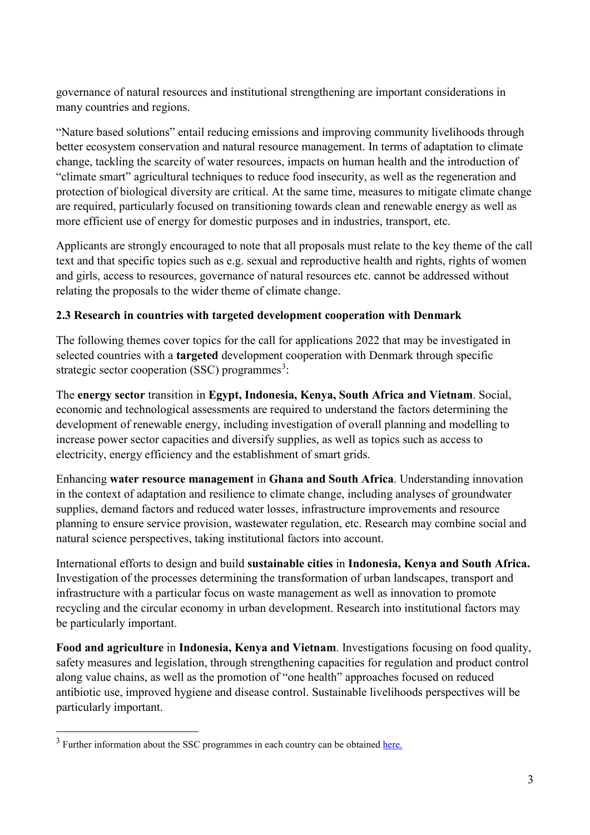governance of natural resources and institutional strengthening are important considerations in many countries and regions.

"Nature based solutions" entail reducing emissions and improving community livelihoods through better ecosystem conservation and natural resource management. In terms of adaptation to climate change, tackling the scarcity of water resources, impacts on human health and the introduction of "climate smart" agricultural techniques to reduce food insecurity, as well as the regeneration and protection of biological diversity are critical. At the same time, measures to mitigate climate change are required, particularly focused on transitioning towards clean and renewable energy as well as more efficient use of energy for domestic purposes and in industries, transport, etc.

Applicants are strongly encouraged to note that all proposals must relate to the key theme of the call text and that specific topics such as e.g. sexual and reproductive health and rights, rights of women and girls, access to resources, governance of natural resources etc. cannot be addressed without relating the proposals to the wider theme of climate change.

### **2.3 Research in countries with targeted development cooperation with Denmark**

The following themes cover topics for the call for applications 2022 that may be investigated in selected countries with a **targeted** development cooperation with Denmark through specific strategic sector cooperation (SSC) programmes<sup>[3](#page-2-0)</sup>:

The **energy sector** transition in **Egypt, Indonesia, Kenya, South Africa and Vietnam**. Social, economic and technological assessments are required to understand the factors determining the development of renewable energy, including investigation of overall planning and modelling to increase power sector capacities and diversify supplies, as well as topics such as access to electricity, energy efficiency and the establishment of smart grids.

Enhancing **water resource management** in **Ghana and South Africa**. Understanding innovation in the context of adaptation and resilience to climate change, including analyses of groundwater supplies, demand factors and reduced water losses, infrastructure improvements and resource planning to ensure service provision, wastewater regulation, etc. Research may combine social and natural science perspectives, taking institutional factors into account.

International efforts to design and build **sustainable cities** in **Indonesia, Kenya and South Africa.** Investigation of the processes determining the transformation of urban landscapes, transport and infrastructure with a particular focus on waste management as well as innovation to promote recycling and the circular economy in urban development. Research into institutional factors may be particularly important.

**Food and agriculture** in **Indonesia, Kenya and Vietnam**. Investigations focusing on food quality, safety measures and legislation, through strengthening capacities for regulation and product control along value chains, as well as the promotion of "one health" approaches focused on reduced antibiotic use, improved hygiene and disease control. Sustainable livelihoods perspectives will be particularly important.

 $\overline{a}$ 

<span id="page-2-0"></span> $3$  Further information about the SSC programmes in each country can be obtained [here.](https://um.dk/en/danida/sustainable-growth/strategic-sector-cooperation-new/list-of-strategic-sector-cooperation-projects)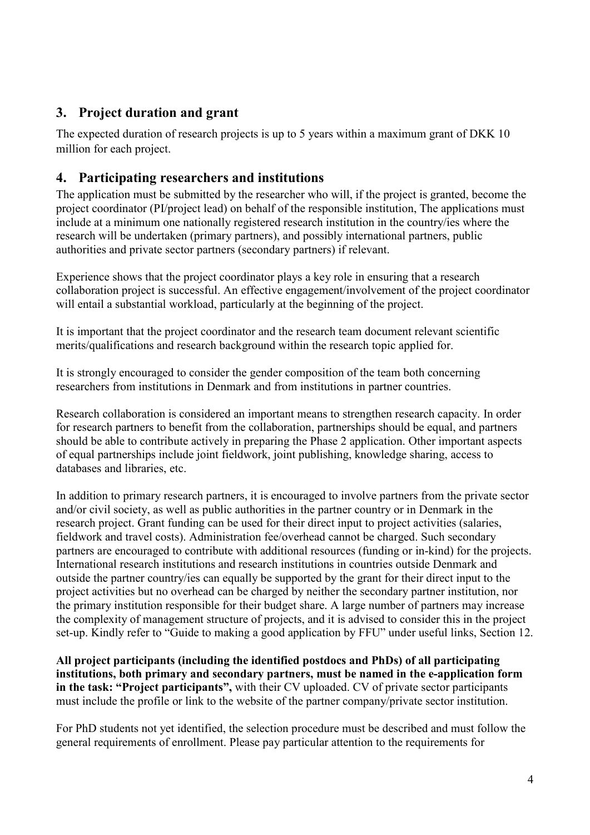# <span id="page-3-0"></span>**3. Project duration and grant**

The expected duration of research projects is up to 5 years within a maximum grant of DKK 10 million for each project.

# <span id="page-3-1"></span>**4. Participating researchers and institutions**

The application must be submitted by the researcher who will, if the project is granted, become the project coordinator (PI/project lead) on behalf of the responsible institution, The applications must include at a minimum one nationally registered research institution in the country/ies where the research will be undertaken (primary partners), and possibly international partners, public authorities and private sector partners (secondary partners) if relevant.

Experience shows that the project coordinator plays a key role in ensuring that a research collaboration project is successful. An effective engagement/involvement of the project coordinator will entail a substantial workload, particularly at the beginning of the project.

It is important that the project coordinator and the research team document relevant scientific merits/qualifications and research background within the research topic applied for.

It is strongly encouraged to consider the gender composition of the team both concerning researchers from institutions in Denmark and from institutions in partner countries.

Research collaboration is considered an important means to strengthen research capacity. In order for research partners to benefit from the collaboration, partnerships should be equal, and partners should be able to contribute actively in preparing the Phase 2 application. Other important aspects of equal partnerships include joint fieldwork, joint publishing, knowledge sharing, access to databases and libraries, etc.

In addition to primary research partners, it is encouraged to involve partners from the private sector and/or civil society, as well as public authorities in the partner country or in Denmark in the research project. Grant funding can be used for their direct input to project activities (salaries, fieldwork and travel costs). Administration fee/overhead cannot be charged. Such secondary partners are encouraged to contribute with additional resources (funding or in-kind) for the projects. International research institutions and research institutions in countries outside Denmark and outside the partner country/ies can equally be supported by the grant for their direct input to the project activities but no overhead can be charged by neither the secondary partner institution, nor the primary institution responsible for their budget share. A large number of partners may increase the complexity of management structure of projects, and it is advised to consider this in the project set-up. Kindly refer to "Guide to making a good application by FFU" under useful links, Section 12.

**All project participants (including the identified postdocs and PhDs) of all participating institutions, both primary and secondary partners, must be named in the e-application form in the task: "Project participants",** with their CV uploaded. CV of private sector participants must include the profile or link to the website of the partner company/private sector institution.

For PhD students not yet identified, the selection procedure must be described and must follow the general requirements of enrollment. Please pay particular attention to the requirements for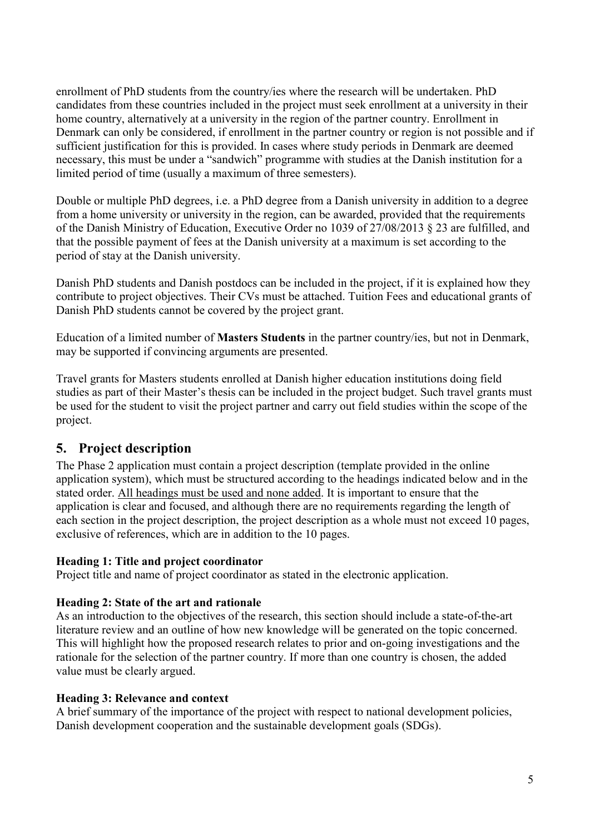enrollment of PhD students from the country/ies where the research will be undertaken. PhD candidates from these countries included in the project must seek enrollment at a university in their home country, alternatively at a university in the region of the partner country. Enrollment in Denmark can only be considered, if enrollment in the partner country or region is not possible and if sufficient justification for this is provided. In cases where study periods in Denmark are deemed necessary, this must be under a "sandwich" programme with studies at the Danish institution for a limited period of time (usually a maximum of three semesters).

Double or multiple PhD degrees, i.e. a PhD degree from a Danish university in addition to a degree from a home university or university in the region, can be awarded, provided that the requirements of the Danish Ministry of Education, Executive Order no 1039 of 27/08/2013 § 23 are fulfilled, and that the possible payment of fees at the Danish university at a maximum is set according to the period of stay at the Danish university.

Danish PhD students and Danish postdocs can be included in the project, if it is explained how they contribute to project objectives. Their CVs must be attached. Tuition Fees and educational grants of Danish PhD students cannot be covered by the project grant.

Education of a limited number of **Masters Students** in the partner country/ies, but not in Denmark, may be supported if convincing arguments are presented.

Travel grants for Masters students enrolled at Danish higher education institutions doing field studies as part of their Master's thesis can be included in the project budget. Such travel grants must be used for the student to visit the project partner and carry out field studies within the scope of the project.

# <span id="page-4-0"></span>**5. Project description**

The Phase 2 application must contain a project description (template provided in the online application system), which must be structured according to the headings indicated below and in the stated order. All headings must be used and none added. It is important to ensure that the application is clear and focused, and although there are no requirements regarding the length of each section in the project description, the project description as a whole must not exceed 10 pages, exclusive of references, which are in addition to the 10 pages.

### **Heading 1: Title and project coordinator**

Project title and name of project coordinator as stated in the electronic application.

### **Heading 2: State of the art and rationale**

As an introduction to the objectives of the research, this section should include a state-of-the-art literature review and an outline of how new knowledge will be generated on the topic concerned. This will highlight how the proposed research relates to prior and on-going investigations and the rationale for the selection of the partner country. If more than one country is chosen, the added value must be clearly argued.

### **Heading 3: Relevance and context**

A brief summary of the importance of the project with respect to national development policies, Danish development cooperation and the sustainable development goals (SDGs).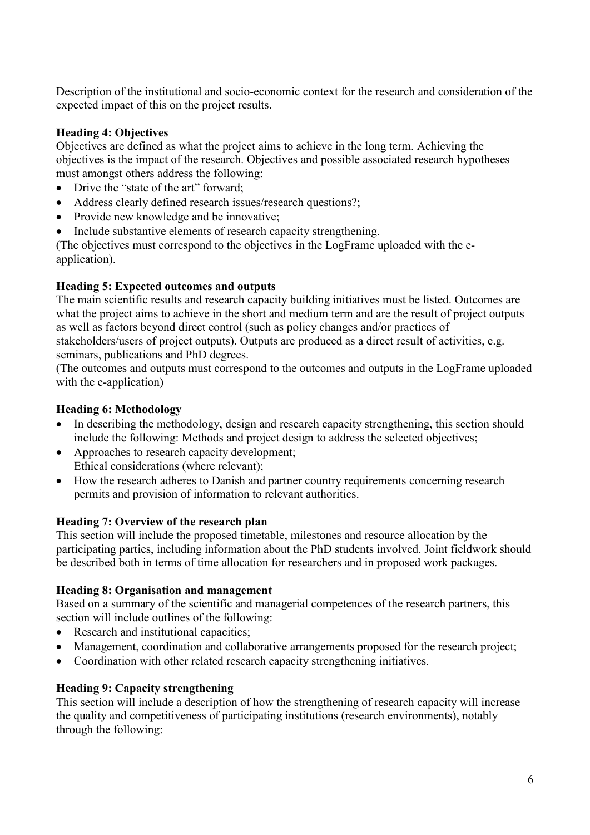Description of the institutional and socio-economic context for the research and consideration of the expected impact of this on the project results.

### **Heading 4: Objectives**

Objectives are defined as what the project aims to achieve in the long term. Achieving the objectives is the impact of the research. Objectives and possible associated research hypotheses must amongst others address the following:

- Drive the "state of the art" forward;
- Address clearly defined research issues/research questions?;
- Provide new knowledge and be innovative;
- Include substantive elements of research capacity strengthening.

(The objectives must correspond to the objectives in the LogFrame uploaded with the eapplication).

### **Heading 5: Expected outcomes and outputs**

The main scientific results and research capacity building initiatives must be listed. Outcomes are what the project aims to achieve in the short and medium term and are the result of project outputs as well as factors beyond direct control (such as policy changes and/or practices of stakeholders/users of project outputs). Outputs are produced as a direct result of activities, e.g. seminars, publications and PhD degrees.

(The outcomes and outputs must correspond to the outcomes and outputs in the LogFrame uploaded with the e-application)

### **Heading 6: Methodology**

- In describing the methodology, design and research capacity strengthening, this section should include the following: Methods and project design to address the selected objectives;
- Approaches to research capacity development: Ethical considerations (where relevant);
- How the research adheres to Danish and partner country requirements concerning research permits and provision of information to relevant authorities.

### **Heading 7: Overview of the research plan**

This section will include the proposed timetable, milestones and resource allocation by the participating parties, including information about the PhD students involved. Joint fieldwork should be described both in terms of time allocation for researchers and in proposed work packages.

### **Heading 8: Organisation and management**

Based on a summary of the scientific and managerial competences of the research partners, this section will include outlines of the following:

- Research and institutional capacities;
- Management, coordination and collaborative arrangements proposed for the research project;
- Coordination with other related research capacity strengthening initiatives.

### **Heading 9: Capacity strengthening**

This section will include a description of how the strengthening of research capacity will increase the quality and competitiveness of participating institutions (research environments), notably through the following: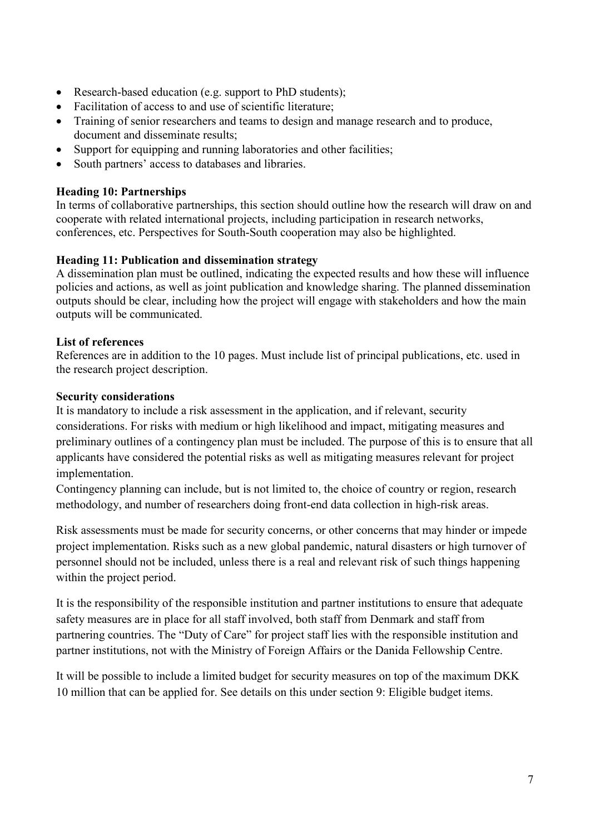- Research-based education (e.g. support to PhD students);
- Facilitation of access to and use of scientific literature;
- Training of senior researchers and teams to design and manage research and to produce, document and disseminate results;
- Support for equipping and running laboratories and other facilities;
- South partners' access to databases and libraries.

### **Heading 10: Partnerships**

In terms of collaborative partnerships, this section should outline how the research will draw on and cooperate with related international projects, including participation in research networks, conferences, etc. Perspectives for South-South cooperation may also be highlighted.

### **Heading 11: Publication and dissemination strategy**

A dissemination plan must be outlined, indicating the expected results and how these will influence policies and actions, as well as joint publication and knowledge sharing. The planned dissemination outputs should be clear, including how the project will engage with stakeholders and how the main outputs will be communicated.

### **List of references**

References are in addition to the 10 pages. Must include list of principal publications, etc. used in the research project description.

### **Security considerations**

It is mandatory to include a risk assessment in the application, and if relevant, security considerations. For risks with medium or high likelihood and impact, mitigating measures and preliminary outlines of a contingency plan must be included. The purpose of this is to ensure that all applicants have considered the potential risks as well as mitigating measures relevant for project implementation.

Contingency planning can include, but is not limited to, the choice of country or region, research methodology, and number of researchers doing front-end data collection in high-risk areas.

Risk assessments must be made for security concerns, or other concerns that may hinder or impede project implementation. Risks such as a new global pandemic, natural disasters or high turnover of personnel should not be included, unless there is a real and relevant risk of such things happening within the project period.

It is the responsibility of the responsible institution and partner institutions to ensure that adequate safety measures are in place for all staff involved, both staff from Denmark and staff from partnering countries. The "Duty of Care" for project staff lies with the responsible institution and partner institutions, not with the Ministry of Foreign Affairs or the Danida Fellowship Centre.

It will be possible to include a limited budget for security measures on top of the maximum DKK 10 million that can be applied for. See details on this under section 9: Eligible budget items.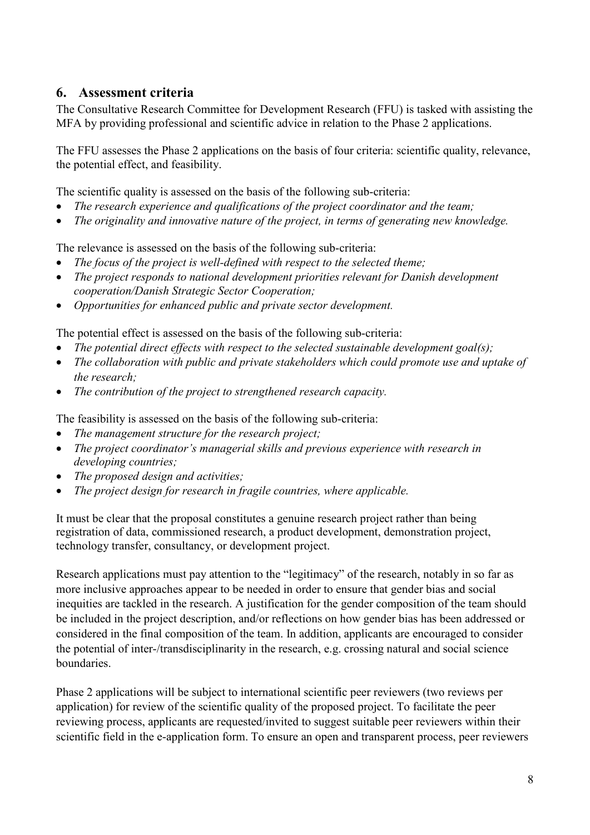### <span id="page-7-0"></span>**6. Assessment criteria**

The Consultative Research Committee for Development Research (FFU) is tasked with assisting the MFA by providing professional and scientific advice in relation to the Phase 2 applications.

The FFU assesses the Phase 2 applications on the basis of four criteria: scientific quality, relevance, the potential effect, and feasibility.

The scientific quality is assessed on the basis of the following sub-criteria:

- *The research experience and qualifications of the project coordinator and the team;*
- *The originality and innovative nature of the project, in terms of generating new knowledge.*

The relevance is assessed on the basis of the following sub-criteria:

- *The focus of the project is well-defined with respect to the selected theme;*
- *The project responds to national development priorities relevant for Danish development cooperation/Danish Strategic Sector Cooperation;*
- *Opportunities for enhanced public and private sector development.*

The potential effect is assessed on the basis of the following sub-criteria:

- *The potential direct effects with respect to the selected sustainable development goal(s);*
- *The collaboration with public and private stakeholders which could promote use and uptake of the research;*
- *The contribution of the project to strengthened research capacity.*

The feasibility is assessed on the basis of the following sub-criteria:

- *The management structure for the research project;*
- *The project coordinator's managerial skills and previous experience with research in developing countries;*
- *The proposed design and activities;*
- *The project design for research in fragile countries, where applicable.*

It must be clear that the proposal constitutes a genuine research project rather than being registration of data, commissioned research, a product development, demonstration project, technology transfer, consultancy, or development project.

Research applications must pay attention to the "legitimacy" of the research, notably in so far as more inclusive approaches appear to be needed in order to ensure that gender bias and social inequities are tackled in the research. A justification for the gender composition of the team should be included in the project description, and/or reflections on how gender bias has been addressed or considered in the final composition of the team. In addition, applicants are encouraged to consider the potential of inter-/transdisciplinarity in the research, e.g. crossing natural and social science **boundaries** 

Phase 2 applications will be subject to international scientific peer reviewers (two reviews per application) for review of the scientific quality of the proposed project. To facilitate the peer reviewing process, applicants are requested/invited to suggest suitable peer reviewers within their scientific field in the e-application form. To ensure an open and transparent process, peer reviewers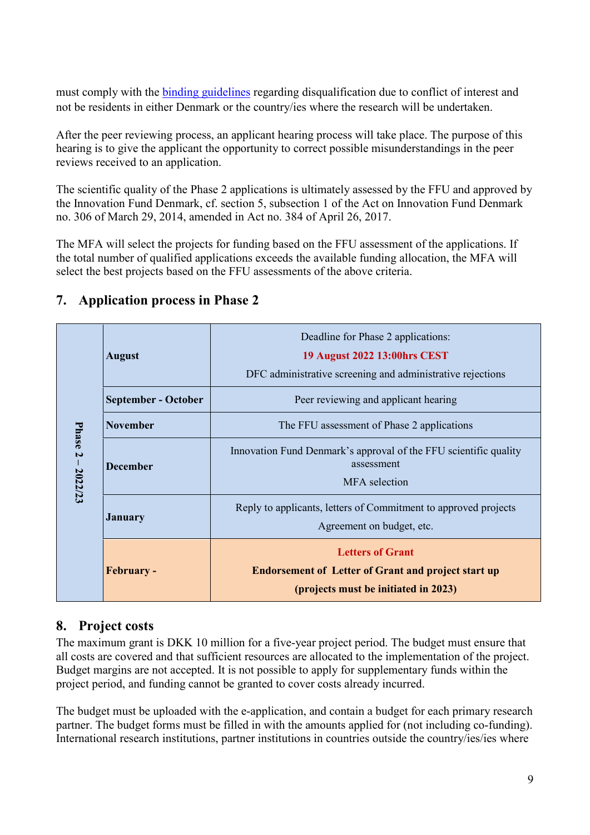must comply with the [binding guidelines](https://dfcentre.com/wp-content/uploads/2022/02/Guidelines-for-conflict-of-interest.pdf) regarding disqualification due to conflict of interest and not be residents in either Denmark or the country/ies where the research will be undertaken.

After the peer reviewing process, an applicant hearing process will take place. The purpose of this hearing is to give the applicant the opportunity to correct possible misunderstandings in the peer reviews received to an application.

The scientific quality of the Phase 2 applications is ultimately assessed by the FFU and approved by the Innovation Fund Denmark, cf. section 5, subsection 1 of the Act on Innovation Fund Denmark no. 306 of March 29, 2014, amended in Act no. 384 of April 26, 2017.

The MFA will select the projects for funding based on the FFU assessment of the applications. If the total number of qualified applications exceeds the available funding allocation, the MFA will select the best projects based on the FFU assessments of the above criteria.

|                   | <b>August</b>              | Deadline for Phase 2 applications:<br>19 August 2022 13:00hrs CEST<br>DFC administrative screening and administrative rejections |
|-------------------|----------------------------|----------------------------------------------------------------------------------------------------------------------------------|
|                   | <b>September - October</b> | Peer reviewing and applicant hearing                                                                                             |
|                   | <b>November</b>            | The FFU assessment of Phase 2 applications                                                                                       |
| Phase 2 - 2022/23 | <b>December</b>            | Innovation Fund Denmark's approval of the FFU scientific quality<br>assessment<br><b>MFA</b> selection                           |
|                   | <b>January</b>             | Reply to applicants, letters of Commitment to approved projects<br>Agreement on budget, etc.                                     |
|                   | February -                 | <b>Letters of Grant</b><br><b>Endorsement of Letter of Grant and project start up</b><br>(projects must be initiated in 2023)    |

# <span id="page-8-0"></span>**7. Application process in Phase 2**

### <span id="page-8-1"></span>**8. Project costs**

The maximum grant is DKK 10 million for a five-year project period. The budget must ensure that all costs are covered and that sufficient resources are allocated to the implementation of the project. Budget margins are not accepted. It is not possible to apply for supplementary funds within the project period, and funding cannot be granted to cover costs already incurred.

The budget must be uploaded with the e-application, and contain a budget for each primary research partner. The budget forms must be filled in with the amounts applied for (not including co-funding). International research institutions, partner institutions in countries outside the country/ies/ies where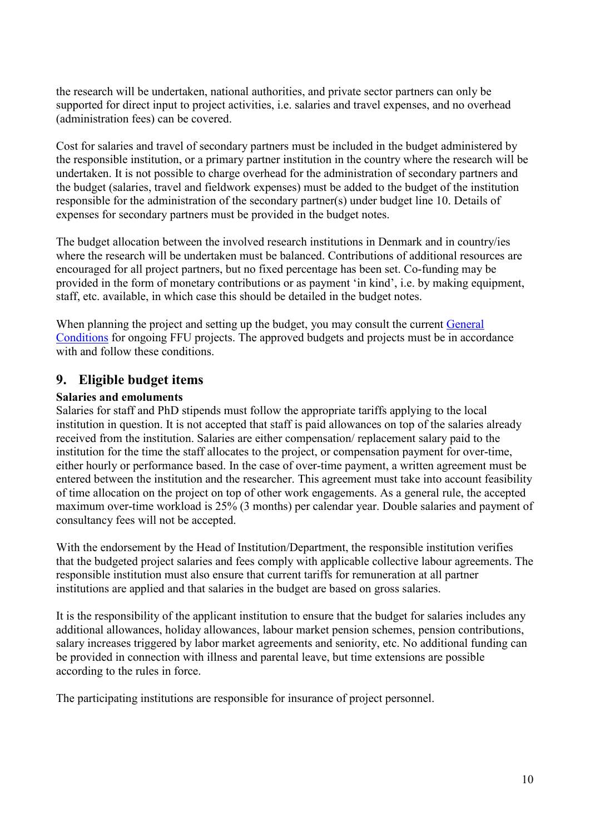the research will be undertaken, national authorities, and private sector partners can only be supported for direct input to project activities, i.e. salaries and travel expenses, and no overhead (administration fees) can be covered.

Cost for salaries and travel of secondary partners must be included in the budget administered by the responsible institution, or a primary partner institution in the country where the research will be undertaken. It is not possible to charge overhead for the administration of secondary partners and the budget (salaries, travel and fieldwork expenses) must be added to the budget of the institution responsible for the administration of the secondary partner(s) under budget line 10. Details of expenses for secondary partners must be provided in the budget notes.

The budget allocation between the involved research institutions in Denmark and in country/ies where the research will be undertaken must be balanced. Contributions of additional resources are encouraged for all project partners, but no fixed percentage has been set. Co-funding may be provided in the form of monetary contributions or as payment 'in kind', i.e. by making equipment, staff, etc. available, in which case this should be detailed in the budget notes.

When planning the project and setting up the budget, you may consult the current General [Conditions](https://dfcentre.com/research/calls/general-conditions-ffu-projects/) for ongoing FFU projects. The approved budgets and projects must be in accordance with and follow these conditions.

### <span id="page-9-0"></span>**9. Eligible budget items**

### **Salaries and emoluments**

Salaries for staff and PhD stipends must follow the appropriate tariffs applying to the local institution in question. It is not accepted that staff is paid allowances on top of the salaries already received from the institution. Salaries are either compensation/ replacement salary paid to the institution for the time the staff allocates to the project, or compensation payment for over-time, either hourly or performance based. In the case of over-time payment, a written agreement must be entered between the institution and the researcher. This agreement must take into account feasibility of time allocation on the project on top of other work engagements. As a general rule, the accepted maximum over-time workload is 25% (3 months) per calendar year. Double salaries and payment of consultancy fees will not be accepted.

With the endorsement by the Head of Institution/Department, the responsible institution verifies that the budgeted project salaries and fees comply with applicable collective labour agreements. The responsible institution must also ensure that current tariffs for remuneration at all partner institutions are applied and that salaries in the budget are based on gross salaries.

It is the responsibility of the applicant institution to ensure that the budget for salaries includes any additional allowances, holiday allowances, labour market pension schemes, pension contributions, salary increases triggered by labor market agreements and seniority, etc. No additional funding can be provided in connection with illness and parental leave, but time extensions are possible according to the rules in force.

The participating institutions are responsible for insurance of project personnel.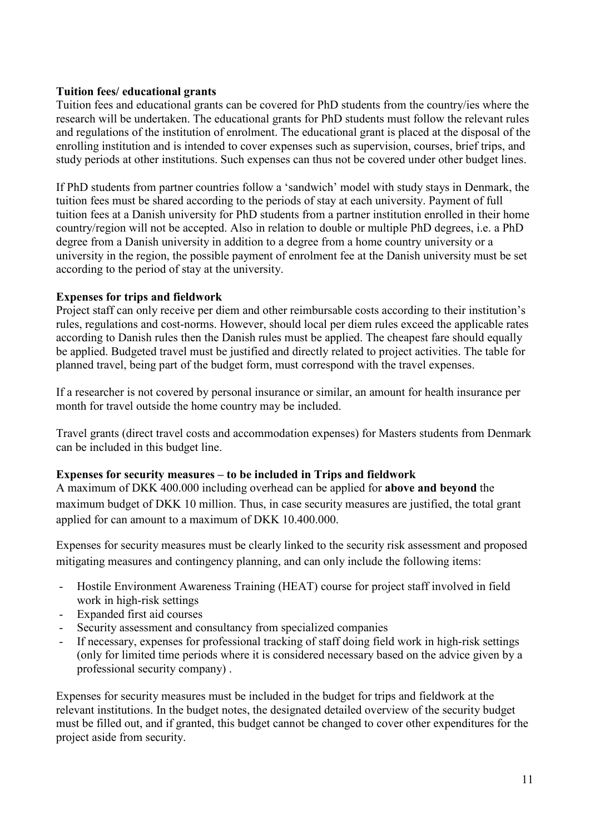### **Tuition fees/ educational grants**

Tuition fees and educational grants can be covered for PhD students from the country/ies where the research will be undertaken. The educational grants for PhD students must follow the relevant rules and regulations of the institution of enrolment. The educational grant is placed at the disposal of the enrolling institution and is intended to cover expenses such as supervision, courses, brief trips, and study periods at other institutions. Such expenses can thus not be covered under other budget lines.

If PhD students from partner countries follow a 'sandwich' model with study stays in Denmark, the tuition fees must be shared according to the periods of stay at each university. Payment of full tuition fees at a Danish university for PhD students from a partner institution enrolled in their home country/region will not be accepted. Also in relation to double or multiple PhD degrees, i.e. a PhD degree from a Danish university in addition to a degree from a home country university or a university in the region, the possible payment of enrolment fee at the Danish university must be set according to the period of stay at the university.

#### **Expenses for trips and fieldwork**

Project staff can only receive per diem and other reimbursable costs according to their institution's rules, regulations and cost-norms. However, should local per diem rules exceed the applicable rates according to Danish rules then the Danish rules must be applied. The cheapest fare should equally be applied. Budgeted travel must be justified and directly related to project activities. The table for planned travel, being part of the budget form, must correspond with the travel expenses.

If a researcher is not covered by personal insurance or similar, an amount for health insurance per month for travel outside the home country may be included.

Travel grants (direct travel costs and accommodation expenses) for Masters students from Denmark can be included in this budget line.

#### **Expenses for security measures – to be included in Trips and fieldwork**

A maximum of DKK 400.000 including overhead can be applied for **above and beyond** the maximum budget of DKK 10 million. Thus, in case security measures are justified, the total grant applied for can amount to a maximum of DKK 10.400.000.

Expenses for security measures must be clearly linked to the security risk assessment and proposed mitigating measures and contingency planning, and can only include the following items:

- Hostile Environment Awareness Training (HEAT) course for project staff involved in field work in high-risk settings
- Expanded first aid courses
- Security assessment and consultancy from specialized companies
- If necessary, expenses for professional tracking of staff doing field work in high-risk settings (only for limited time periods where it is considered necessary based on the advice given by a professional security company) .

Expenses for security measures must be included in the budget for trips and fieldwork at the relevant institutions. In the budget notes, the designated detailed overview of the security budget must be filled out, and if granted, this budget cannot be changed to cover other expenditures for the project aside from security.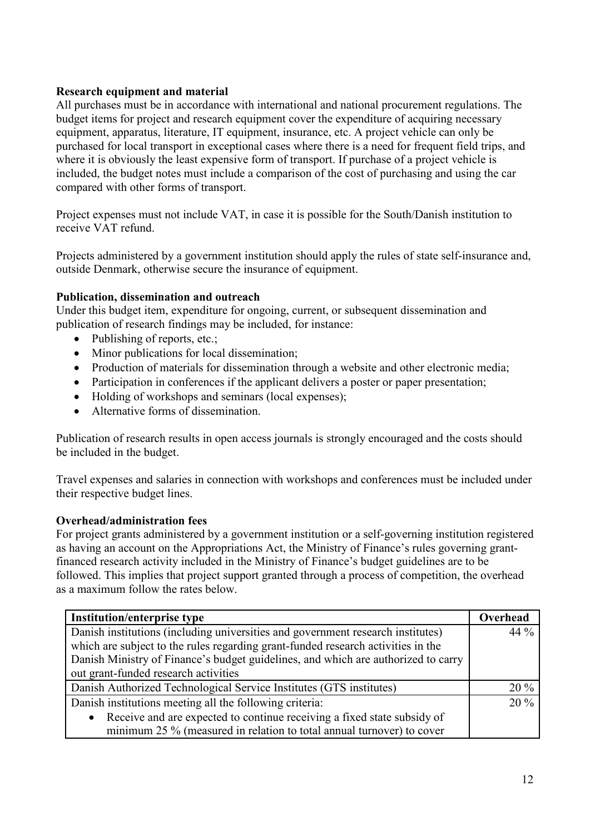### **Research equipment and material**

All purchases must be in accordance with international and national procurement regulations. The budget items for project and research equipment cover the expenditure of acquiring necessary equipment, apparatus, literature, IT equipment, insurance, etc. A project vehicle can only be purchased for local transport in exceptional cases where there is a need for frequent field trips, and where it is obviously the least expensive form of transport. If purchase of a project vehicle is included, the budget notes must include a comparison of the cost of purchasing and using the car compared with other forms of transport.

Project expenses must not include VAT, in case it is possible for the South/Danish institution to receive VAT refund.

Projects administered by a government institution should apply the rules of state self-insurance and, outside Denmark, otherwise secure the insurance of equipment.

### **Publication, dissemination and outreach**

Under this budget item, expenditure for ongoing, current, or subsequent dissemination and publication of research findings may be included, for instance:

- Publishing of reports, etc.;
- Minor publications for local dissemination;
- Production of materials for dissemination through a website and other electronic media;
- Participation in conferences if the applicant delivers a poster or paper presentation;
- Holding of workshops and seminars (local expenses);
- Alternative forms of dissemination.

Publication of research results in open access journals is strongly encouraged and the costs should be included in the budget.

Travel expenses and salaries in connection with workshops and conferences must be included under their respective budget lines.

### **Overhead/administration fees**

For project grants administered by a government institution or a self-governing institution registered as having an account on the Appropriations Act, the Ministry of Finance's rules governing grantfinanced research activity included in the Ministry of Finance's budget guidelines are to be followed. This implies that project support granted through a process of competition, the overhead as a maximum follow the rates below.

| <b>Institution/enterprise type</b>                                                |  |
|-----------------------------------------------------------------------------------|--|
| Danish institutions (including universities and government research institutes)   |  |
| which are subject to the rules regarding grant-funded research activities in the  |  |
| Danish Ministry of Finance's budget guidelines, and which are authorized to carry |  |
| out grant-funded research activities                                              |  |
| Danish Authorized Technological Service Institutes (GTS institutes)               |  |
| Danish institutions meeting all the following criteria:                           |  |
| • Receive and are expected to continue receiving a fixed state subsidy of         |  |
| minimum 25 % (measured in relation to total annual turnover) to cover             |  |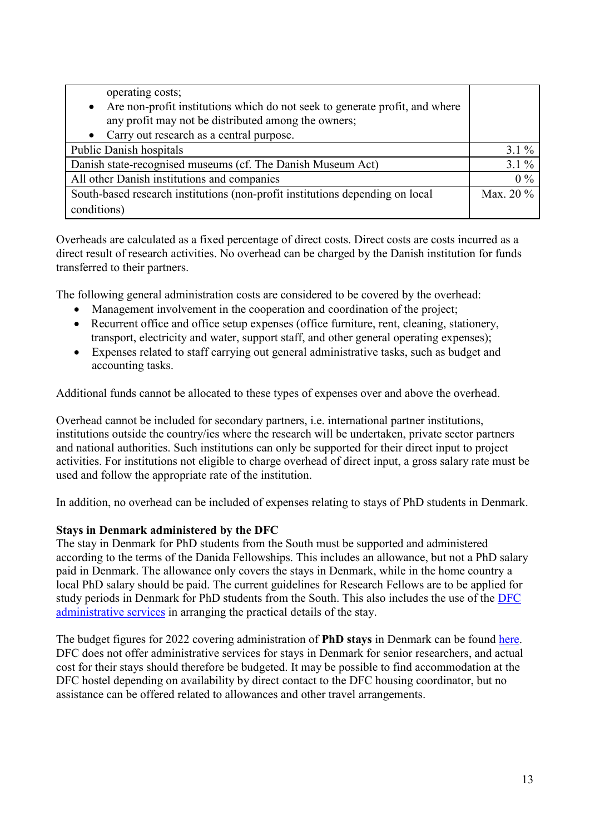| operating costs;<br>Are non-profit institutions which do not seek to generate profit, and where<br>$\bullet$<br>any profit may not be distributed among the owners;<br>• Carry out research as a central purpose. |  |
|-------------------------------------------------------------------------------------------------------------------------------------------------------------------------------------------------------------------|--|
| Public Danish hospitals                                                                                                                                                                                           |  |
| Danish state-recognised museums (cf. The Danish Museum Act)                                                                                                                                                       |  |
| All other Danish institutions and companies                                                                                                                                                                       |  |
| South-based research institutions (non-profit institutions depending on local                                                                                                                                     |  |
| conditions)                                                                                                                                                                                                       |  |

Overheads are calculated as a fixed percentage of direct costs. Direct costs are costs incurred as a direct result of research activities. No overhead can be charged by the Danish institution for funds transferred to their partners.

The following general administration costs are considered to be covered by the overhead:

- Management involvement in the cooperation and coordination of the project;
- Recurrent office and office setup expenses (office furniture, rent, cleaning, stationery, transport, electricity and water, support staff, and other general operating expenses);
- Expenses related to staff carrying out general administrative tasks, such as budget and accounting tasks.

Additional funds cannot be allocated to these types of expenses over and above the overhead.

Overhead cannot be included for secondary partners, i.e. international partner institutions, institutions outside the country/ies where the research will be undertaken, private sector partners and national authorities. Such institutions can only be supported for their direct input to project activities. For institutions not eligible to charge overhead of direct input, a gross salary rate must be used and follow the appropriate rate of the institution.

In addition, no overhead can be included of expenses relating to stays of PhD students in Denmark.

### **Stays in Denmark administered by the DFC**

The stay in Denmark for PhD students from the South must be supported and administered according to the terms of the Danida Fellowships. This includes an allowance, but not a PhD salary paid in Denmark. The allowance only covers the stays in Denmark, while in the home country a local PhD salary should be paid. The current guidelines for Research Fellows are to be applied for study periods in Denmark for PhD students from the South. This also includes the use of the [DFC](https://dfcentre.com/research/how-dfc-administers-research-projects/research-fellows/)  [administrative services](https://dfcentre.com/research/how-dfc-administers-research-projects/research-fellows/) in arranging the practical details of the stay.

The budget figures for 2022 covering administration of **PhD stays** in Denmark can be found [here.](https://dfcentre.com/research/logistics-for-phd-students-and-research-fellows/costs-of-logistic-services/) DFC does not offer administrative services for stays in Denmark for senior researchers, and actual cost for their stays should therefore be budgeted. It may be possible to find accommodation at the DFC hostel depending on availability by direct contact to the DFC housing coordinator, but no assistance can be offered related to allowances and other travel arrangements.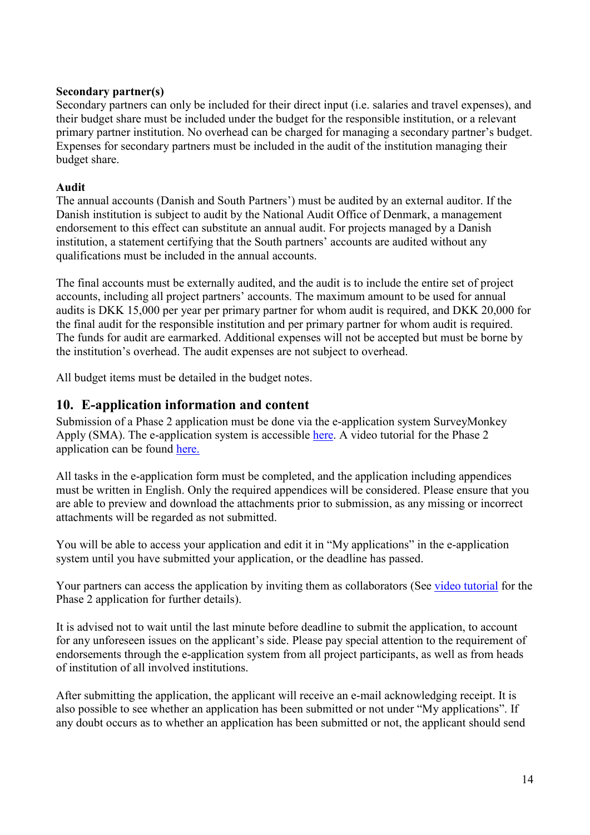#### **Secondary partner(s)**

Secondary partners can only be included for their direct input (i.e. salaries and travel expenses), and their budget share must be included under the budget for the responsible institution, or a relevant primary partner institution. No overhead can be charged for managing a secondary partner's budget. Expenses for secondary partners must be included in the audit of the institution managing their budget share.

#### **Audit**

The annual accounts (Danish and South Partners') must be audited by an external auditor. If the Danish institution is subject to audit by the National Audit Office of Denmark, a management endorsement to this effect can substitute an annual audit. For projects managed by a Danish institution, a statement certifying that the South partners' accounts are audited without any qualifications must be included in the annual accounts.

The final accounts must be externally audited, and the audit is to include the entire set of project accounts, including all project partners' accounts. The maximum amount to be used for annual audits is DKK 15,000 per year per primary partner for whom audit is required, and DKK 20,000 for the final audit for the responsible institution and per primary partner for whom audit is required. The funds for audit are earmarked. Additional expenses will not be accepted but must be borne by the institution's overhead. The audit expenses are not subject to overhead.

<span id="page-13-0"></span>All budget items must be detailed in the budget notes.

### **10. E-application information and content**

Submission of a Phase 2 application must be done via the e-application system SurveyMonkey Apply (SMA). The e-application system is accessible [here.](https://dfcentre.smapply.io/acc/l) A video tutorial for the Phase 2 application can be found [here.](https://www.youtube.com/embed/sQNye2PVFbk)

All tasks in the e-application form must be completed, and the application including appendices must be written in English. Only the required appendices will be considered. Please ensure that you are able to preview and download the attachments prior to submission, as any missing or incorrect attachments will be regarded as not submitted.

You will be able to access your application and edit it in "My applications" in the e-application system until you have submitted your application, or the deadline has passed.

Your partners can access the application by inviting them as collaborators (See [video tutorial](https://www.youtube.com/embed/sQNye2PVFbk) for the Phase 2 application for further details).

It is advised not to wait until the last minute before deadline to submit the application, to account for any unforeseen issues on the applicant's side. Please pay special attention to the requirement of endorsements through the e-application system from all project participants, as well as from heads of institution of all involved institutions.

After submitting the application, the applicant will receive an e-mail acknowledging receipt. It is also possible to see whether an application has been submitted or not under "My applications". If any doubt occurs as to whether an application has been submitted or not, the applicant should send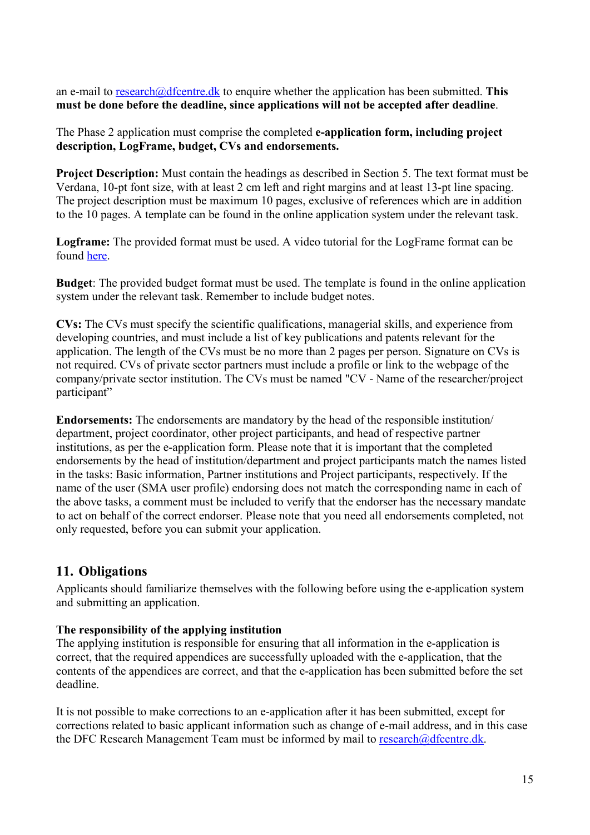an e-mail to [research@dfcentre.dk](mailto:research@dfcentre.dk) to enquire whether the application has been submitted. **This must be done before the deadline, since applications will not be accepted after deadline**.

The Phase 2 application must comprise the completed **e-application form, including project description, LogFrame, budget, CVs and endorsements.** 

**Project Description:** Must contain the headings as described in Section 5. The text format must be Verdana, 10-pt font size, with at least 2 cm left and right margins and at least 13-pt line spacing. The project description must be maximum 10 pages, exclusive of references which are in addition to the 10 pages. A template can be found in the online application system under the relevant task.

**Logframe:** The provided format must be used. A video tutorial for the LogFrame format can be found [here.](https://www.youtube.com/embed/AAjN6wWJrNo)

**Budget**: The provided budget format must be used. The template is found in the online application system under the relevant task. Remember to include budget notes.

**CVs:** The CVs must specify the scientific qualifications, managerial skills, and experience from developing countries, and must include a list of key publications and patents relevant for the application. The length of the CVs must be no more than 2 pages per person. Signature on CVs is not required. CVs of private sector partners must include a profile or link to the webpage of the company/private sector institution. The CVs must be named "CV - Name of the researcher/project participant"

**Endorsements:** The endorsements are mandatory by the head of the responsible institution/ department, project coordinator, other project participants, and head of respective partner institutions, as per the e-application form. Please note that it is important that the completed endorsements by the head of institution/department and project participants match the names listed in the tasks: Basic information, Partner institutions and Project participants, respectively. If the name of the user (SMA user profile) endorsing does not match the corresponding name in each of the above tasks, a comment must be included to verify that the endorser has the necessary mandate to act on behalf of the correct endorser. Please note that you need all endorsements completed, not only requested, before you can submit your application.

### <span id="page-14-0"></span>**11. Obligations**

Applicants should familiarize themselves with the following before using the e-application system and submitting an application.

### **The responsibility of the applying institution**

The applying institution is responsible for ensuring that all information in the e-application is correct, that the required appendices are successfully uploaded with the e-application, that the contents of the appendices are correct, and that the e-application has been submitted before the set deadline.

It is not possible to make corrections to an e-application after it has been submitted, except for corrections related to basic applicant information such as change of e-mail address, and in this case the DFC Research Management Team must be informed by mail to  $res\{a\}$  research $@d$  fcentre.dk.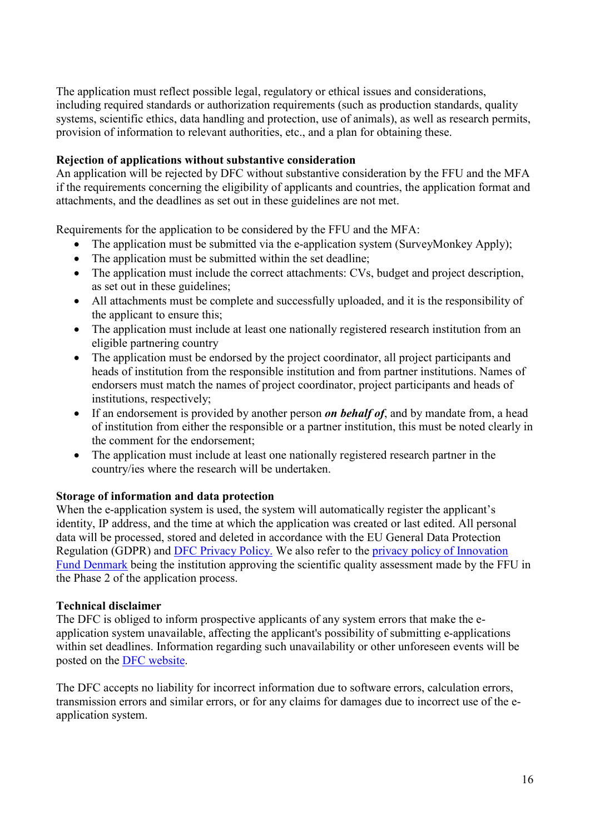The application must reflect possible legal, regulatory or ethical issues and considerations, including required standards or authorization requirements (such as production standards, quality systems, scientific ethics, data handling and protection, use of animals), as well as research permits, provision of information to relevant authorities, etc., and a plan for obtaining these.

#### **Rejection of applications without substantive consideration**

An application will be rejected by DFC without substantive consideration by the FFU and the MFA if the requirements concerning the eligibility of applicants and countries, the application format and attachments, and the deadlines as set out in these guidelines are not met.

Requirements for the application to be considered by the FFU and the MFA:

- The application must be submitted via the e-application system (SurveyMonkey Apply);
- The application must be submitted within the set deadline;
- The application must include the correct attachments: CVs, budget and project description, as set out in these guidelines;
- All attachments must be complete and successfully uploaded, and it is the responsibility of the applicant to ensure this;
- The application must include at least one nationally registered research institution from an eligible partnering country
- The application must be endorsed by the project coordinator, all project participants and heads of institution from the responsible institution and from partner institutions. Names of endorsers must match the names of project coordinator, project participants and heads of institutions, respectively;
- If an endorsement is provided by another person *on behalf of*, and by mandate from, a head of institution from either the responsible or a partner institution, this must be noted clearly in the comment for the endorsement;
- The application must include at least one nationally registered research partner in the country/ies where the research will be undertaken.

#### **Storage of information and data protection**

When the e-application system is used, the system will automatically register the applicant's identity, IP address, and the time at which the application was created or last edited. All personal data will be processed, stored and deleted in accordance with the EU General Data Protection Regulation (GDPR) and [DFC Privacy Policy.](https://dfcentre.com/privacy-policy/) We also refer to the [privacy policy of Innovation](https://innovationsfonden.dk/en/privatlivspolitik-innovationsfonden)  [Fund Denmark](https://innovationsfonden.dk/en/privatlivspolitik-innovationsfonden) being the institution approving the scientific quality assessment made by the FFU in the Phase 2 of the application process.

#### **Technical disclaimer**

The DFC is obliged to inform prospective applicants of any system errors that make the eapplication system unavailable, affecting the applicant's possibility of submitting e-applications within set deadlines. Information regarding such unavailability or other unforeseen events will be posted on the [DFC website.](https://dfcentre.com/research)

The DFC accepts no liability for incorrect information due to software errors, calculation errors, transmission errors and similar errors, or for any claims for damages due to incorrect use of the eapplication system.